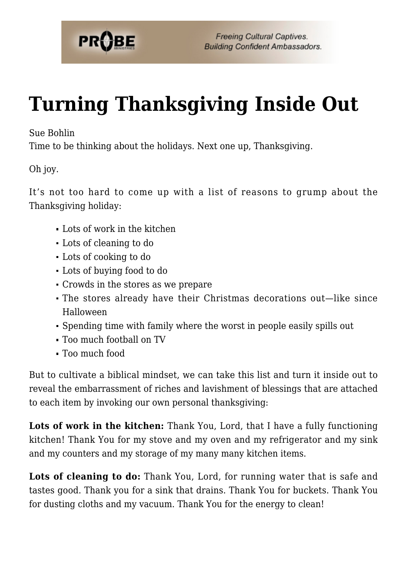

## **[Turning Thanksgiving Inside Out](https://probe.org/turning-thanksgiving-inside-out/)**

Sue Bohlin

Time to be thinking about the holidays. Next one up, Thanksgiving.

Oh joy.

It's not too hard to come up with a list of reasons to grump about the Thanksgiving holiday:

- Lots of work in the kitchen
- Lots of cleaning to do
- Lots of cooking to do
- Lots of buying food to do
- Crowds in the stores as we prepare
- The stores already have their Christmas decorations out—like since Halloween
- Spending time with family where the worst in people easily spills out
- Too much football on TV
- Too much food

But to cultivate a biblical mindset, we can take this list and turn it inside out to reveal the embarrassment of riches and lavishment of blessings that are attached to each item by invoking our own personal thanksgiving:

Lots of work in the kitchen: Thank You, Lord, that I have a fully functioning kitchen! Thank You for my stove and my oven and my refrigerator and my sink and my counters and my storage of my many many kitchen items.

**Lots of cleaning to do:** Thank You, Lord, for running water that is safe and tastes good. Thank you for a sink that drains. Thank You for buckets. Thank You for dusting cloths and my vacuum. Thank You for the energy to clean!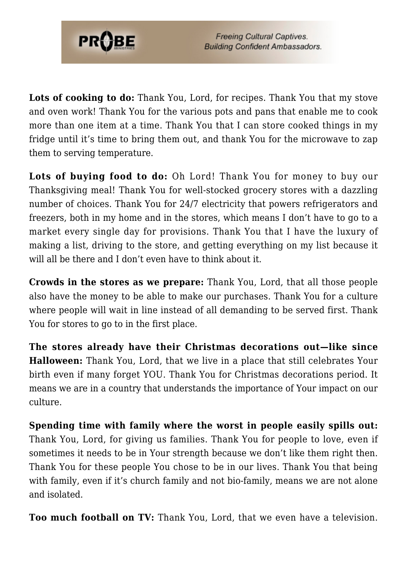

**Freeing Cultural Captives. Building Confident Ambassadors.** 

**Lots of cooking to do:** Thank You, Lord, for recipes. Thank You that my stove and oven work! Thank You for the various pots and pans that enable me to cook more than one item at a time. Thank You that I can store cooked things in my fridge until it's time to bring them out, and thank You for the microwave to zap them to serving temperature.

**Lots of buying food to do:** Oh Lord! Thank You for money to buy our Thanksgiving meal! Thank You for well-stocked grocery stores with a dazzling number of choices. Thank You for 24/7 electricity that powers refrigerators and freezers, both in my home and in the stores, which means I don't have to go to a market every single day for provisions. Thank You that I have the luxury of making a list, driving to the store, and getting everything on my list because it will all be there and I don't even have to think about it.

**Crowds in the stores as we prepare:** Thank You, Lord, that all those people also have the money to be able to make our purchases. Thank You for a culture where people will wait in line instead of all demanding to be served first. Thank You for stores to go to in the first place.

**The stores already have their Christmas decorations out—like since Halloween:** Thank You, Lord, that we live in a place that still celebrates Your birth even if many forget YOU. Thank You for Christmas decorations period. It means we are in a country that understands the importance of Your impact on our culture.

**Spending time with family where the worst in people easily spills out:** Thank You, Lord, for giving us families. Thank You for people to love, even if sometimes it needs to be in Your strength because we don't like them right then. Thank You for these people You chose to be in our lives. Thank You that being with family, even if it's church family and not bio-family, means we are not alone and isolated.

**Too much football on TV:** Thank You, Lord, that we even have a television.